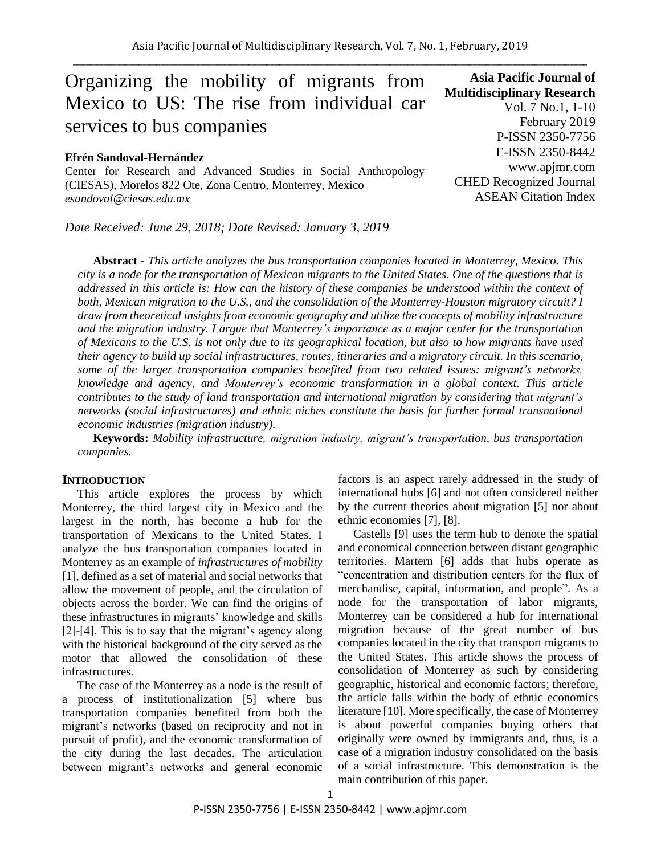# Organizing the mobility of migrants from Mexico to US: The rise from individual car services to bus companies

#### **Efrén Sandoval-Hernández**

Center for Research and Advanced Studies in Social Anthropology (CIESAS), Morelos 822 Ote, Zona Centro, Monterrey, Mexico *esandoval@ciesas.edu.mx*

*Date Received: June 29, 2018; Date Revised: January 3, 2019*

**Asia Pacific Journal of Multidisciplinary Research** Vol. 7 No.1, 1-10 February 2019 P-ISSN 2350-7756 E-ISSN 2350-8442 www.apjmr.com CHED Recognized Journal ASEAN Citation Index

**Abstract -** *This article analyzes the bus transportation companies located in Monterrey, Mexico. This city is a node for the transportation of Mexican migrants to the United States. One of the questions that is addressed in this article is: How can the history of these companies be understood within the context of both, Mexican migration to the U.S., and the consolidation of the Monterrey-Houston migratory circuit? I draw from theoretical insights from economic geography and utilize the concepts of mobility infrastructure and the migration industry. I argue that Monterrey's importance as a major center for the transportation of Mexicans to the U.S. is not only due to its geographical location, but also to how migrants have used their agency to build up social infrastructures, routes, itineraries and a migratory circuit. In this scenario, some of the larger transportation companies benefited from two related issues: migrant's networks, knowledge and agency, and Monterrey's economic transformation in a global context. This article contributes to the study of land transportation and international migration by considering that migrant's networks (social infrastructures) and ethnic niches constitute the basis for further formal transnational economic industries (migration industry).*

**Keywords:** *Mobility infrastructure, migration industry, migrant's transportation, bus transportation companies.*

## **INTRODUCTION**

This article explores the process by which Monterrey, the third largest city in Mexico and the largest in the north, has become a hub for the transportation of Mexicans to the United States. I analyze the bus transportation companies located in Monterrey as an example of *infrastructures of mobility* [1], defined as a set of material and social networks that allow the movement of people, and the circulation of objects across the border. We can find the origins of these infrastructures in migrants' knowledge and skills [2]-[4]. This is to say that the migrant's agency along with the historical background of the city served as the motor that allowed the consolidation of these infrastructures.

The case of the Monterrey as a node is the result of a process of institutionalization [5] where bus transportation companies benefited from both the migrant's networks (based on reciprocity and not in pursuit of profit), and the economic transformation of the city during the last decades. The articulation between migrant's networks and general economic factors is an aspect rarely addressed in the study of international hubs [6] and not often considered neither by the current theories about migration [5] nor about ethnic economies [7], [8].

Castells [9] uses the term hub to denote the spatial and economical connection between distant geographic territories. Martern [6] adds that hubs operate as "concentration and distribution centers for the flux of merchandise, capital, information, and people". As a node for the transportation of labor migrants, Monterrey can be considered a hub for international migration because of the great number of bus companies located in the city that transport migrants to the United States. This article shows the process of consolidation of Monterrey as such by considering geographic, historical and economic factors; therefore, the article falls within the body of ethnic economics literature [10]. More specifically, the case of Monterrey is about powerful companies buying others that originally were owned by immigrants and, thus, is a case of a migration industry consolidated on the basis of a social infrastructure. This demonstration is the main contribution of this paper.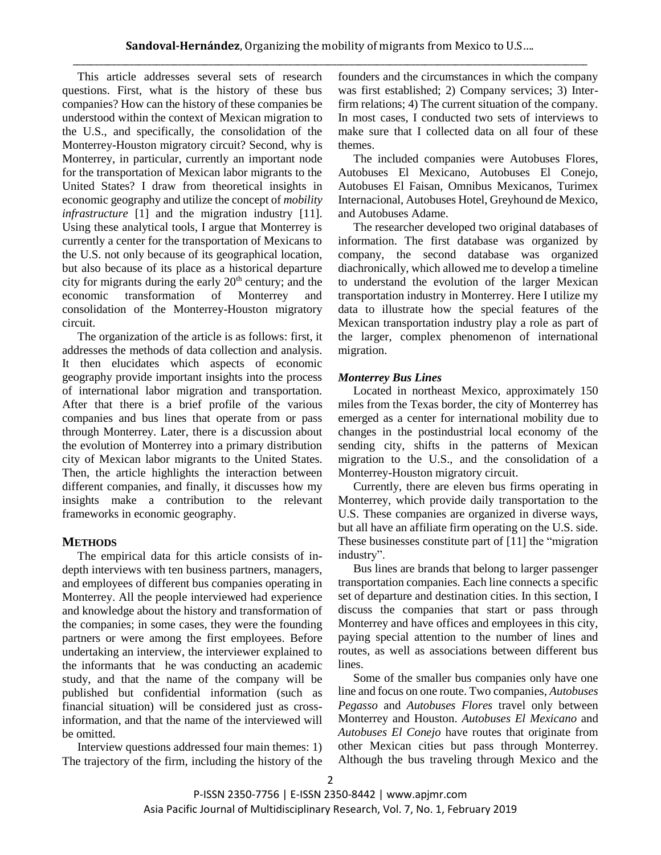This article addresses several sets of research questions. First, what is the history of these bus companies? How can the history of these companies be understood within the context of Mexican migration to the U.S., and specifically, the consolidation of the Monterrey-Houston migratory circuit? Second, why is Monterrey, in particular, currently an important node for the transportation of Mexican labor migrants to the United States? I draw from theoretical insights in economic geography and utilize the concept of *mobility infrastructure* [1] and the migration industry [11]. Using these analytical tools, I argue that Monterrey is currently a center for the transportation of Mexicans to the U.S. not only because of its geographical location, but also because of its place as a historical departure city for migrants during the early  $20<sup>th</sup>$  century; and the economic transformation of Monterrey and consolidation of the Monterrey-Houston migratory circuit.

The organization of the article is as follows: first, it addresses the methods of data collection and analysis. It then elucidates which aspects of economic geography provide important insights into the process of international labor migration and transportation. After that there is a brief profile of the various companies and bus lines that operate from or pass through Monterrey. Later, there is a discussion about the evolution of Monterrey into a primary distribution city of Mexican labor migrants to the United States. Then, the article highlights the interaction between different companies, and finally, it discusses how my insights make a contribution to the relevant frameworks in economic geography.

## **METHODS**

The empirical data for this article consists of indepth interviews with ten business partners, managers, and employees of different bus companies operating in Monterrey. All the people interviewed had experience and knowledge about the history and transformation of the companies; in some cases, they were the founding partners or were among the first employees. Before undertaking an interview, the interviewer explained to the informants that he was conducting an academic study, and that the name of the company will be published but confidential information (such as financial situation) will be considered just as crossinformation, and that the name of the interviewed will be omitted.

Interview questions addressed four main themes: 1) The trajectory of the firm, including the history of the founders and the circumstances in which the company was first established; 2) Company services; 3) Interfirm relations; 4) The current situation of the company. In most cases, I conducted two sets of interviews to make sure that I collected data on all four of these themes.

The included companies were Autobuses Flores, Autobuses El Mexicano, Autobuses El Conejo, Autobuses El Faisan, Omnibus Mexicanos, Turimex Internacional, Autobuses Hotel, Greyhound de Mexico, and Autobuses Adame.

The researcher developed two original databases of information. The first database was organized by company, the second database was organized diachronically, which allowed me to develop a timeline to understand the evolution of the larger Mexican transportation industry in Monterrey. Here I utilize my data to illustrate how the special features of the Mexican transportation industry play a role as part of the larger, complex phenomenon of international migration.

## *Monterrey Bus Lines*

Located in northeast Mexico, approximately 150 miles from the Texas border, the city of Monterrey has emerged as a center for international mobility due to changes in the postindustrial local economy of the sending city, shifts in the patterns of Mexican migration to the U.S., and the consolidation of a Monterrey-Houston migratory circuit.

Currently, there are eleven bus firms operating in Monterrey, which provide daily transportation to the U.S. These companies are organized in diverse ways, but all have an affiliate firm operating on the U.S. side. These businesses constitute part of [11] the "migration industry".

Bus lines are brands that belong to larger passenger transportation companies. Each line connects a specific set of departure and destination cities. In this section, I discuss the companies that start or pass through Monterrey and have offices and employees in this city, paying special attention to the number of lines and routes, as well as associations between different bus lines.

Some of the smaller bus companies only have one line and focus on one route. Two companies, *Autobuses Pegasso* and *Autobuses Flores* travel only between Monterrey and Houston. *Autobuses El Mexicano* and *Autobuses El Conejo* have routes that originate from other Mexican cities but pass through Monterrey. Although the bus traveling through Mexico and the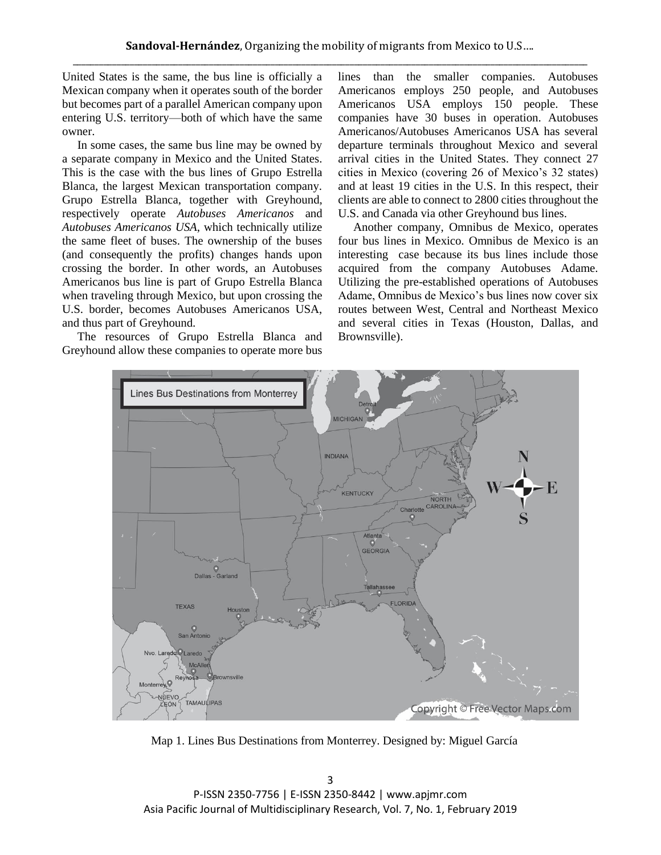United States is the same, the bus line is officially a Mexican company when it operates south of the border but becomes part of a parallel American company upon entering U.S. territory—both of which have the same owner.

In some cases, the same bus line may be owned by a separate company in Mexico and the United States. This is the case with the bus lines of Grupo Estrella Blanca, the largest Mexican transportation company. Grupo Estrella Blanca, together with Greyhound, respectively operate *Autobuses Americanos* and *Autobuses Americanos USA*, which technically utilize the same fleet of buses. The ownership of the buses (and consequently the profits) changes hands upon crossing the border. In other words, an Autobuses Americanos bus line is part of Grupo Estrella Blanca when traveling through Mexico, but upon crossing the U.S. border, becomes Autobuses Americanos USA, and thus part of Greyhound.

The resources of Grupo Estrella Blanca and Greyhound allow these companies to operate more bus lines than the smaller companies. Autobuses Americanos employs 250 people, and Autobuses Americanos USA employs 150 people. These companies have 30 buses in operation. Autobuses Americanos/Autobuses Americanos USA has several departure terminals throughout Mexico and several arrival cities in the United States. They connect 27 cities in Mexico (covering 26 of Mexico's 32 states) and at least 19 cities in the U.S. In this respect, their clients are able to connect to 2800 cities throughout the U.S. and Canada via other Greyhound bus lines.

Another company, Omnibus de Mexico, operates four bus lines in Mexico. Omnibus de Mexico is an interesting case because its bus lines include those acquired from the company Autobuses Adame. Utilizing the pre-established operations of Autobuses Adame, Omnibus de Mexico's bus lines now cover six routes between West, Central and Northeast Mexico and several cities in Texas (Houston, Dallas, and Brownsville).



Map 1. Lines Bus Destinations from Monterrey. Designed by: Miguel García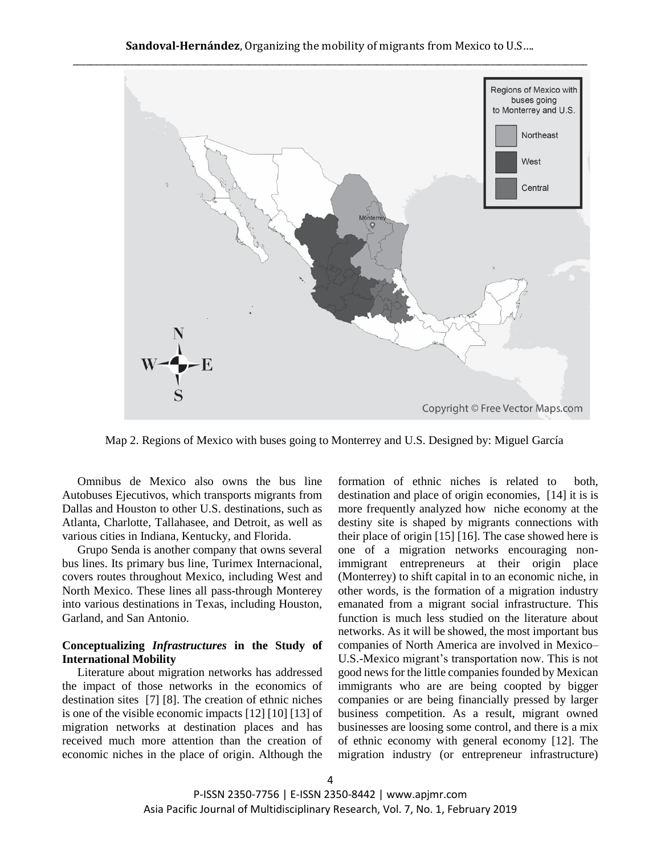

Map 2. Regions of Mexico with buses going to Monterrey and U.S. Designed by: Miguel García

Omnibus de Mexico also owns the bus line Autobuses Ejecutivos, which transports migrants from Dallas and Houston to other U.S. destinations, such as Atlanta, Charlotte, Tallahasee, and Detroit, as well as various cities in Indiana, Kentucky, and Florida.

Grupo Senda is another company that owns several bus lines. Its primary bus line, Turimex Internacional, covers routes throughout Mexico, including West and North Mexico. These lines all pass-through Monterey into various destinations in Texas, including Houston, Garland, and San Antonio.

### **Conceptualizing** *Infrastructures* **in the Study of International Mobility**

Literature about migration networks has addressed the impact of those networks in the economics of destination sites [7] [8]. The creation of ethnic niches is one of the visible economic impacts [12] [10] [13] of migration networks at destination places and has received much more attention than the creation of economic niches in the place of origin. Although the formation of ethnic niches is related to both, destination and place of origin economies, [14] it is is more frequently analyzed how niche economy at the destiny site is shaped by migrants connections with their place of origin [15] [16]. The case showed here is one of a migration networks encouraging nonimmigrant entrepreneurs at their origin place (Monterrey) to shift capital in to an economic niche, in other words, is the formation of a migration industry emanated from a migrant social infrastructure. This function is much less studied on the literature about networks. As it will be showed, the most important bus companies of North America are involved in Mexico– U.S.-Mexico migrant's transportation now. This is not good news for the little companies founded by Mexican immigrants who are are being coopted by bigger companies or are being financially pressed by larger business competition. As a result, migrant owned businesses are loosing some control, and there is a mix of ethnic economy with general economy [12]. The migration industry (or entrepreneur infrastructure)

P-ISSN 2350-7756 | E-ISSN 2350-8442 | www.apjmr.com Asia Pacific Journal of Multidisciplinary Research, Vol. 7, No. 1, February 2019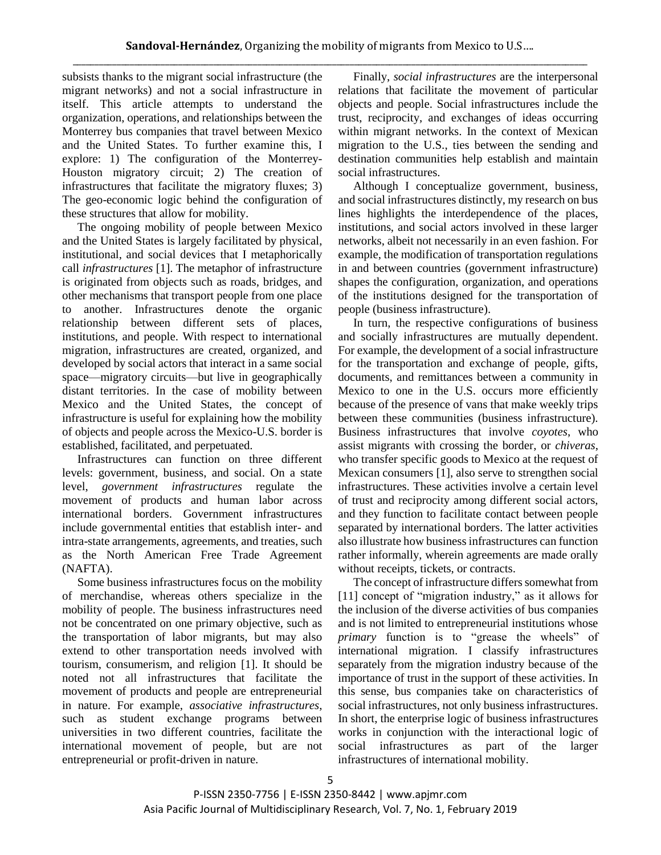subsists thanks to the migrant social infrastructure (the migrant networks) and not a social infrastructure in itself. This article attempts to understand the organization, operations, and relationships between the Monterrey bus companies that travel between Mexico and the United States. To further examine this, I explore: 1) The configuration of the Monterrey-Houston migratory circuit; 2) The creation of infrastructures that facilitate the migratory fluxes; 3) The geo-economic logic behind the configuration of these structures that allow for mobility.

The ongoing mobility of people between Mexico and the United States is largely facilitated by physical, institutional, and social devices that I metaphorically call *infrastructures* [1]. The metaphor of infrastructure is originated from objects such as roads, bridges, and other mechanisms that transport people from one place to another. Infrastructures denote the organic relationship between different sets of places, institutions, and people. With respect to international migration, infrastructures are created, organized, and developed by social actors that interact in a same social space—migratory circuits—but live in geographically distant territories. In the case of mobility between Mexico and the United States, the concept of infrastructure is useful for explaining how the mobility of objects and people across the Mexico-U.S. border is established, facilitated, and perpetuated.

Infrastructures can function on three different levels: government, business, and social. On a state level, *government infrastructures* regulate the movement of products and human labor across international borders. Government infrastructures include governmental entities that establish inter- and intra-state arrangements, agreements, and treaties, such as the North American Free Trade Agreement (NAFTA).

Some business infrastructures focus on the mobility of merchandise, whereas others specialize in the mobility of people. The business infrastructures need not be concentrated on one primary objective, such as the transportation of labor migrants, but may also extend to other transportation needs involved with tourism, consumerism, and religion [1]. It should be noted not all infrastructures that facilitate the movement of products and people are entrepreneurial in nature. For example, *associative infrastructures*, such as student exchange programs between universities in two different countries, facilitate the international movement of people, but are not entrepreneurial or profit-driven in nature.

Finally, *social infrastructures* are the interpersonal relations that facilitate the movement of particular objects and people. Social infrastructures include the trust, reciprocity, and exchanges of ideas occurring within migrant networks. In the context of Mexican migration to the U.S., ties between the sending and destination communities help establish and maintain social infrastructures.

Although I conceptualize government, business, and social infrastructures distinctly, my research on bus lines highlights the interdependence of the places, institutions, and social actors involved in these larger networks, albeit not necessarily in an even fashion. For example, the modification of transportation regulations in and between countries (government infrastructure) shapes the configuration, organization, and operations of the institutions designed for the transportation of people (business infrastructure).

In turn, the respective configurations of business and socially infrastructures are mutually dependent. For example, the development of a social infrastructure for the transportation and exchange of people, gifts, documents, and remittances between a community in Mexico to one in the U.S. occurs more efficiently because of the presence of vans that make weekly trips between these communities (business infrastructure). Business infrastructures that involve *coyotes*, who assist migrants with crossing the border, or *chiveras*, who transfer specific goods to Mexico at the request of Mexican consumers [1], also serve to strengthen social infrastructures. These activities involve a certain level of trust and reciprocity among different social actors, and they function to facilitate contact between people separated by international borders. The latter activities also illustrate how business infrastructures can function rather informally, wherein agreements are made orally without receipts, tickets, or contracts.

The concept of infrastructure differs somewhat from [11] concept of "migration industry," as it allows for the inclusion of the diverse activities of bus companies and is not limited to entrepreneurial institutions whose *primary* function is to "grease the wheels" of international migration. I classify infrastructures separately from the migration industry because of the importance of trust in the support of these activities. In this sense, bus companies take on characteristics of social infrastructures, not only business infrastructures. In short, the enterprise logic of business infrastructures works in conjunction with the interactional logic of social infrastructures as part of the larger infrastructures of international mobility.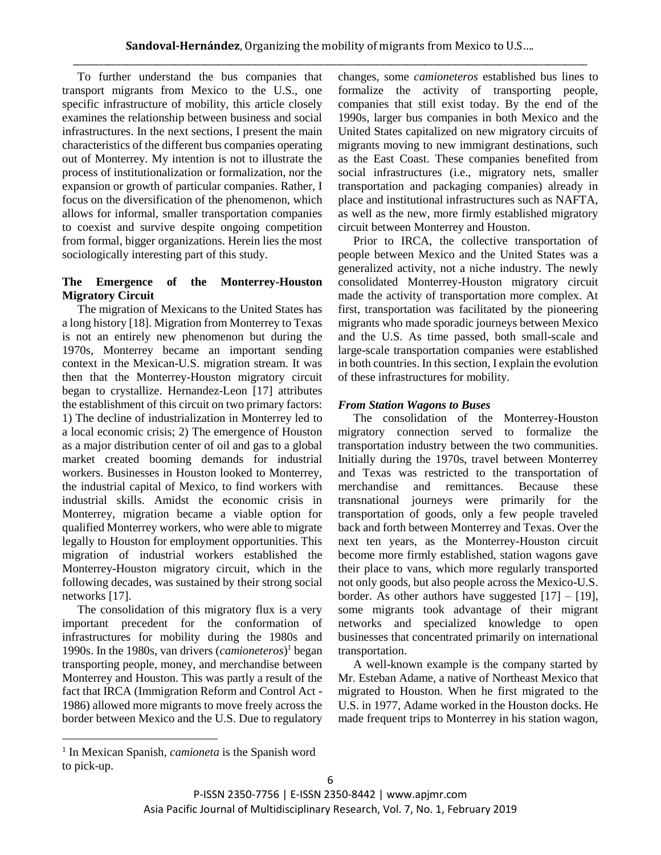To further understand the bus companies that transport migrants from Mexico to the U.S., one specific infrastructure of mobility, this article closely examines the relationship between business and social infrastructures. In the next sections, I present the main characteristics of the different bus companies operating out of Monterrey. My intention is not to illustrate the process of institutionalization or formalization, nor the expansion or growth of particular companies. Rather, I focus on the diversification of the phenomenon, which allows for informal, smaller transportation companies to coexist and survive despite ongoing competition from formal, bigger organizations. Herein lies the most sociologically interesting part of this study.

## **The Emergence of the Monterrey-Houston Migratory Circuit**

The migration of Mexicans to the United States has a long history [18]. Migration from Monterrey to Texas is not an entirely new phenomenon but during the 1970s, Monterrey became an important sending context in the Mexican-U.S. migration stream. It was then that the Monterrey-Houston migratory circuit began to crystallize. Hernandez-Leon [17] attributes the establishment of this circuit on two primary factors: 1) The decline of industrialization in Monterrey led to a local economic crisis; 2) The emergence of Houston as a major distribution center of oil and gas to a global market created booming demands for industrial workers. Businesses in Houston looked to Monterrey, the industrial capital of Mexico, to find workers with industrial skills. Amidst the economic crisis in Monterrey, migration became a viable option for qualified Monterrey workers, who were able to migrate legally to Houston for employment opportunities. This migration of industrial workers established the Monterrey-Houston migratory circuit, which in the following decades, was sustained by their strong social networks [17].

The consolidation of this migratory flux is a very important precedent for the conformation of infrastructures for mobility during the 1980s and 1990s. In the 1980s, van drivers (*camioneteros*) <sup>1</sup> began transporting people, money, and merchandise between Monterrey and Houston. This was partly a result of the fact that IRCA (Immigration Reform and Control Act - 1986) allowed more migrants to move freely across the border between Mexico and the U.S. Due to regulatory

changes, some *camioneteros* established bus lines to formalize the activity of transporting people, companies that still exist today. By the end of the 1990s, larger bus companies in both Mexico and the United States capitalized on new migratory circuits of migrants moving to new immigrant destinations, such as the East Coast. These companies benefited from social infrastructures (i.e., migratory nets, smaller transportation and packaging companies) already in place and institutional infrastructures such as NAFTA, as well as the new, more firmly established migratory circuit between Monterrey and Houston.

Prior to IRCA, the collective transportation of people between Mexico and the United States was a generalized activity, not a niche industry. The newly consolidated Monterrey-Houston migratory circuit made the activity of transportation more complex. At first, transportation was facilitated by the pioneering migrants who made sporadic journeys between Mexico and the U.S. As time passed, both small-scale and large-scale transportation companies were established in both countries. In this section, I explain the evolution of these infrastructures for mobility.

## *From Station Wagons to Buses*

The consolidation of the Monterrey-Houston migratory connection served to formalize the transportation industry between the two communities. Initially during the 1970s, travel between Monterrey and Texas was restricted to the transportation of merchandise and remittances. Because these transnational journeys were primarily for the transportation of goods, only a few people traveled back and forth between Monterrey and Texas. Over the next ten years, as the Monterrey-Houston circuit become more firmly established, station wagons gave their place to vans, which more regularly transported not only goods, but also people across the Mexico-U.S. border. As other authors have suggested  $[17] - [19]$ , some migrants took advantage of their migrant networks and specialized knowledge to open businesses that concentrated primarily on international transportation.

A well-known example is the company started by Mr. Esteban Adame, a native of Northeast Mexico that migrated to Houston. When he first migrated to the U.S. in 1977, Adame worked in the Houston docks. He made frequent trips to Monterrey in his station wagon,

 $\overline{a}$ 

<sup>&</sup>lt;sup>1</sup> In Mexican Spanish, *camioneta* is the Spanish word to pick-up.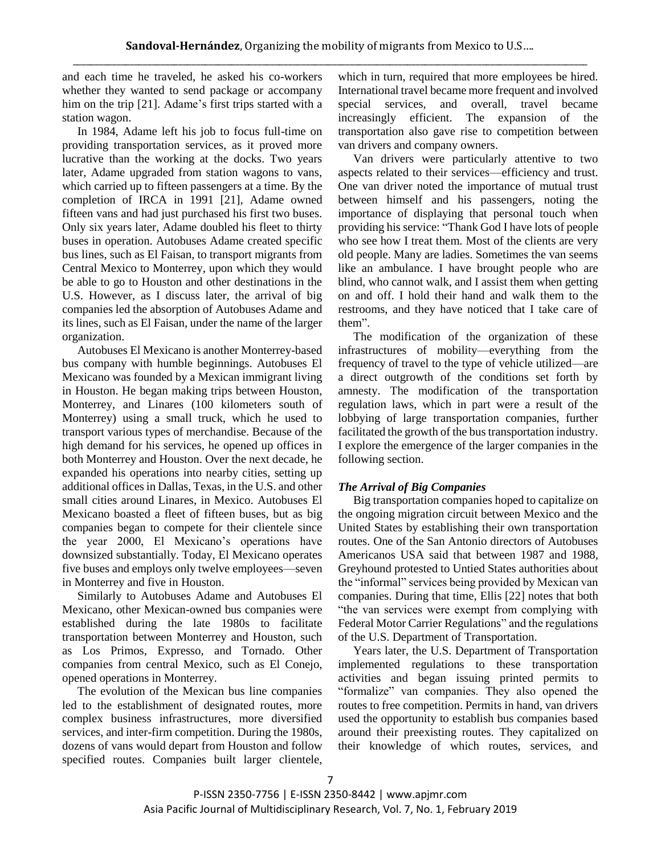and each time he traveled, he asked his co-workers whether they wanted to send package or accompany him on the trip [21]. Adame's first trips started with a station wagon.

In 1984, Adame left his job to focus full-time on providing transportation services, as it proved more lucrative than the working at the docks. Two years later, Adame upgraded from station wagons to vans, which carried up to fifteen passengers at a time. By the completion of IRCA in 1991 [21], Adame owned fifteen vans and had just purchased his first two buses. Only six years later, Adame doubled his fleet to thirty buses in operation. Autobuses Adame created specific bus lines, such as El Faisan, to transport migrants from Central Mexico to Monterrey, upon which they would be able to go to Houston and other destinations in the U.S. However, as I discuss later, the arrival of big companies led the absorption of Autobuses Adame and its lines, such as El Faisan, under the name of the larger organization.

Autobuses El Mexicano is another Monterrey-based bus company with humble beginnings. Autobuses El Mexicano was founded by a Mexican immigrant living in Houston. He began making trips between Houston, Monterrey, and Linares (100 kilometers south of Monterrey) using a small truck, which he used to transport various types of merchandise. Because of the high demand for his services, he opened up offices in both Monterrey and Houston. Over the next decade, he expanded his operations into nearby cities, setting up additional offices in Dallas, Texas, in the U.S. and other small cities around Linares, in Mexico. Autobuses El Mexicano boasted a fleet of fifteen buses, but as big companies began to compete for their clientele since the year 2000, El Mexicano's operations have downsized substantially. Today, El Mexicano operates five buses and employs only twelve employees—seven in Monterrey and five in Houston.

Similarly to Autobuses Adame and Autobuses El Mexicano, other Mexican-owned bus companies were established during the late 1980s to facilitate transportation between Monterrey and Houston, such as Los Primos, Expresso, and Tornado. Other companies from central Mexico, such as El Conejo, opened operations in Monterrey.

The evolution of the Mexican bus line companies led to the establishment of designated routes, more complex business infrastructures, more diversified services, and inter-firm competition. During the 1980s, dozens of vans would depart from Houston and follow specified routes. Companies built larger clientele,

which in turn, required that more employees be hired. International travel became more frequent and involved special services, and overall, travel became increasingly efficient. The expansion of the transportation also gave rise to competition between van drivers and company owners.

Van drivers were particularly attentive to two aspects related to their services—efficiency and trust. One van driver noted the importance of mutual trust between himself and his passengers, noting the importance of displaying that personal touch when providing his service: "Thank God I have lots of people who see how I treat them. Most of the clients are very old people. Many are ladies. Sometimes the van seems like an ambulance. I have brought people who are blind, who cannot walk, and I assist them when getting on and off. I hold their hand and walk them to the restrooms, and they have noticed that I take care of them".

The modification of the organization of these infrastructures of mobility—everything from the frequency of travel to the type of vehicle utilized—are a direct outgrowth of the conditions set forth by amnesty. The modification of the transportation regulation laws, which in part were a result of the lobbying of large transportation companies, further facilitated the growth of the bus transportation industry. I explore the emergence of the larger companies in the following section.

## *The Arrival of Big Companies*

Big transportation companies hoped to capitalize on the ongoing migration circuit between Mexico and the United States by establishing their own transportation routes. One of the San Antonio directors of Autobuses Americanos USA said that between 1987 and 1988, Greyhound protested to Untied States authorities about the "informal" services being provided by Mexican van companies. During that time, Ellis [22] notes that both "the van services were exempt from complying with Federal Motor Carrier Regulations" and the regulations of the U.S. Department of Transportation.

Years later, the U.S. Department of Transportation implemented regulations to these transportation activities and began issuing printed permits to "formalize" van companies. They also opened the routes to free competition. Permits in hand, van drivers used the opportunity to establish bus companies based around their preexisting routes. They capitalized on their knowledge of which routes, services, and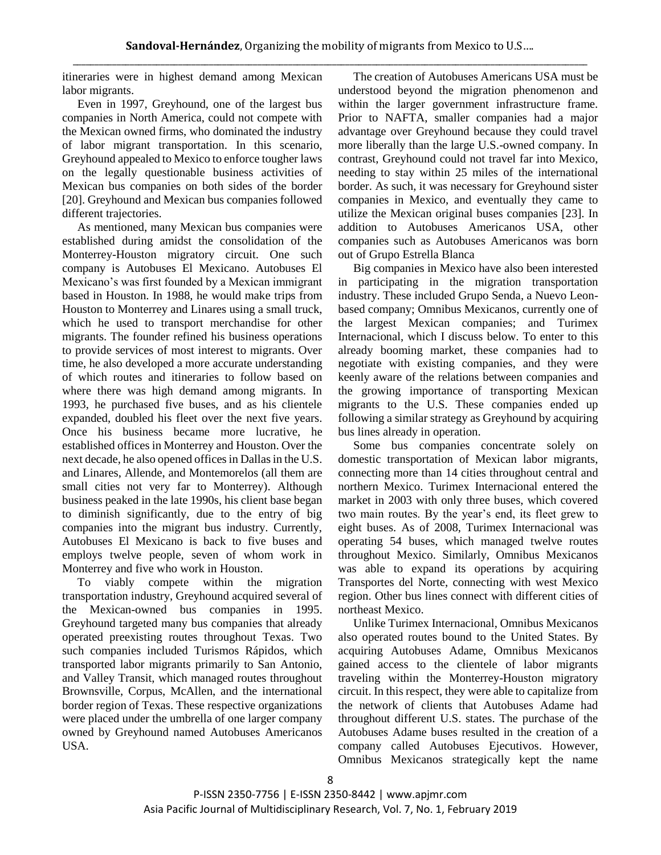itineraries were in highest demand among Mexican labor migrants.

Even in 1997, Greyhound, one of the largest bus companies in North America, could not compete with the Mexican owned firms, who dominated the industry of labor migrant transportation. In this scenario, Greyhound appealed to Mexico to enforce tougher laws on the legally questionable business activities of Mexican bus companies on both sides of the border [20]. Greyhound and Mexican bus companies followed different trajectories.

As mentioned, many Mexican bus companies were established during amidst the consolidation of the Monterrey-Houston migratory circuit. One such company is Autobuses El Mexicano. Autobuses El Mexicano's was first founded by a Mexican immigrant based in Houston. In 1988, he would make trips from Houston to Monterrey and Linares using a small truck, which he used to transport merchandise for other migrants. The founder refined his business operations to provide services of most interest to migrants. Over time, he also developed a more accurate understanding of which routes and itineraries to follow based on where there was high demand among migrants. In 1993, he purchased five buses, and as his clientele expanded, doubled his fleet over the next five years. Once his business became more lucrative, he established offices in Monterrey and Houston. Over the next decade, he also opened offices in Dallas in the U.S. and Linares, Allende, and Montemorelos (all them are small cities not very far to Monterrey). Although business peaked in the late 1990s, his client base began to diminish significantly, due to the entry of big companies into the migrant bus industry. Currently, Autobuses El Mexicano is back to five buses and employs twelve people, seven of whom work in Monterrey and five who work in Houston.

To viably compete within the migration transportation industry, Greyhound acquired several of the Mexican-owned bus companies in 1995. Greyhound targeted many bus companies that already operated preexisting routes throughout Texas. Two such companies included Turismos Rápidos, which transported labor migrants primarily to San Antonio, and Valley Transit, which managed routes throughout Brownsville, Corpus, McAllen, and the international border region of Texas. These respective organizations were placed under the umbrella of one larger company owned by Greyhound named Autobuses Americanos USA.

The creation of Autobuses Americans USA must be understood beyond the migration phenomenon and within the larger government infrastructure frame. Prior to NAFTA, smaller companies had a major advantage over Greyhound because they could travel more liberally than the large U.S.-owned company. In contrast, Greyhound could not travel far into Mexico, needing to stay within 25 miles of the international border. As such, it was necessary for Greyhound sister companies in Mexico, and eventually they came to utilize the Mexican original buses companies [23]. In addition to Autobuses Americanos USA, other companies such as Autobuses Americanos was born out of Grupo Estrella Blanca

Big companies in Mexico have also been interested in participating in the migration transportation industry. These included Grupo Senda, a Nuevo Leonbased company; Omnibus Mexicanos, currently one of the largest Mexican companies; and Turimex Internacional, which I discuss below. To enter to this already booming market, these companies had to negotiate with existing companies, and they were keenly aware of the relations between companies and the growing importance of transporting Mexican migrants to the U.S. These companies ended up following a similar strategy as Greyhound by acquiring bus lines already in operation.

Some bus companies concentrate solely on domestic transportation of Mexican labor migrants, connecting more than 14 cities throughout central and northern Mexico. Turimex Internacional entered the market in 2003 with only three buses, which covered two main routes. By the year's end, its fleet grew to eight buses. As of 2008, Turimex Internacional was operating 54 buses, which managed twelve routes throughout Mexico. Similarly, Omnibus Mexicanos was able to expand its operations by acquiring Transportes del Norte, connecting with west Mexico region. Other bus lines connect with different cities of northeast Mexico.

Unlike Turimex Internacional, Omnibus Mexicanos also operated routes bound to the United States. By acquiring Autobuses Adame, Omnibus Mexicanos gained access to the clientele of labor migrants traveling within the Monterrey-Houston migratory circuit. In this respect, they were able to capitalize from the network of clients that Autobuses Adame had throughout different U.S. states. The purchase of the Autobuses Adame buses resulted in the creation of a company called Autobuses Ejecutivos. However, Omnibus Mexicanos strategically kept the name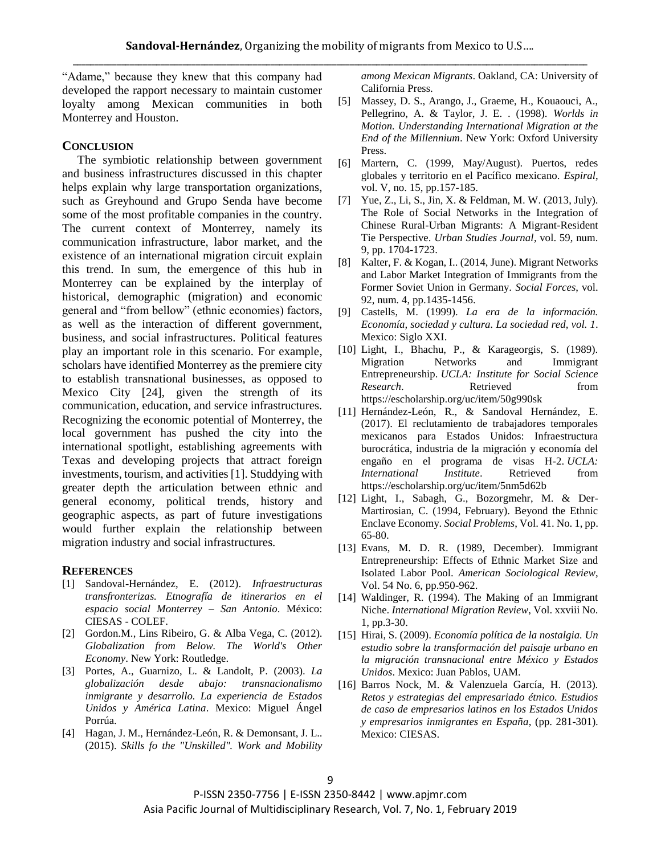"Adame," because they knew that this company had developed the rapport necessary to maintain customer loyalty among Mexican communities in both Monterrey and Houston.

#### **CONCLUSION**

The symbiotic relationship between government and business infrastructures discussed in this chapter helps explain why large transportation organizations, such as Greyhound and Grupo Senda have become some of the most profitable companies in the country. The current context of Monterrey, namely its communication infrastructure, labor market, and the existence of an international migration circuit explain this trend. In sum, the emergence of this hub in Monterrey can be explained by the interplay of historical, demographic (migration) and economic general and "from bellow" (ethnic economies) factors, as well as the interaction of different government, business, and social infrastructures. Political features play an important role in this scenario. For example, scholars have identified Monterrey as the premiere city to establish transnational businesses, as opposed to Mexico City [24], given the strength of its communication, education, and service infrastructures. Recognizing the economic potential of Monterrey, the local government has pushed the city into the international spotlight, establishing agreements with Texas and developing projects that attract foreign investments, tourism, and activities [1]. Studdying with greater depth the articulation between ethnic and general economy, political trends, history and geographic aspects, as part of future investigations would further explain the relationship between migration industry and social infrastructures.

#### **REFERENCES**

- [1] Sandoval-Hernández, E. (2012). *Infraestructuras transfronterizas. Etnografía de itinerarios en el espacio social Monterrey – San Antonio*. México: CIESAS - COLEF.
- [2] Gordon.M., Lins Ribeiro, G. & Alba Vega, C. (2012). *Globalization from Below. The World's Other Economy*. New York: Routledge.
- [3] Portes, A., Guarnizo, L. & Landolt, P. (2003). *La globalización desde abajo: transnacionalismo inmigrante y desarrollo. La experiencia de Estados Unidos y América Latina*. Mexico: Miguel Ángel Porrúa.
- [4] Hagan, J. M., Hernández-León, R. & Demonsant, J. L.. (2015). *Skills fo the "Unskilled". Work and Mobility*

*among Mexican Migrants*. Oakland, CA: University of California Press.

- [5] Massey, D. S., Arango, J., Graeme, H., Kouaouci, A., Pellegrino, A. & Taylor, J. E. . (1998). *Worlds in Motion. Understanding International Migration at the End of the Millennium*. New York: Oxford University Press.
- [6] Martern, C. (1999, May/August). Puertos, redes globales y territorio en el Pacífico mexicano. *Espiral*, vol. V, no. 15, pp.157-185.
- [7] Yue, Z., Li, S., Jin, X. & Feldman, M. W. (2013, July). The Role of Social Networks in the Integration of Chinese Rural-Urban Migrants: A Migrant-Resident Tie Perspective. *Urban Studies Journal*, vol. 59, num. 9, pp. 1704-1723.
- [8] Kalter, F. & Kogan, I.. (2014, June). Migrant Networks and Labor Market Integration of Immigrants from the Former Soviet Union in Germany. *Social Forces*, vol. 92, num. 4, pp.1435-1456.
- [9] Castells, M. (1999). *La era de la información. Economía, sociedad y cultura. La sociedad red, vol. 1*. Mexico: Siglo XXI.
- [10] Light, I., Bhachu, P., & Karageorgis, S. (1989). Migration Networks and Immigrant Entrepreneurship. *UCLA: Institute for Social Science Research.* Retrieved from https://escholarship.org/uc/item/50g990sk
- [11] Hernández-León, R., & Sandoval Hernández, E. (2017). El reclutamiento de trabajadores temporales mexicanos para Estados Unidos: Infraestructura burocrática, industria de la migración y economía del engaño en el programa de visas H-2. *UCLA: International Institute*. Retrieved from https://escholarship.org/uc/item/5nm5d62b
- [12] Light, I., Sabagh, G., Bozorgmehr, M. & Der-Martirosian, C. (1994, February). Beyond the Ethnic Enclave Economy. *Social Problems*, Vol. 41. No. 1, pp. 65-80.
- [13] Evans, M. D. R. (1989, December). Immigrant Entrepreneurship: Effects of Ethnic Market Size and Isolated Labor Pool. *American Sociological Review*, Vol. 54 No. 6, pp.950-962.
- [14] Waldinger, R. (1994). The Making of an Immigrant Niche. *International Migration Review*, Vol. xxviii No. 1, pp.3-30.
- [15] Hirai, S. (2009). *Economía política de la nostalgia. Un estudio sobre la transformación del paisaje urbano en la migración transnacional entre México y Estados Unidos*. Mexico: Juan Pablos, UAM.
- [16] Barros Nock, M. & Valenzuela García, H. (2013). *Retos y estrategias del empresariado étnico. Estudios de caso de empresarios latinos en los Estados Unidos y empresarios inmigrantes en España*, (pp. 281-301). Mexico: CIESAS.

P-ISSN 2350-7756 | E-ISSN 2350-8442 | www.apjmr.com Asia Pacific Journal of Multidisciplinary Research, Vol. 7, No. 1, February 2019